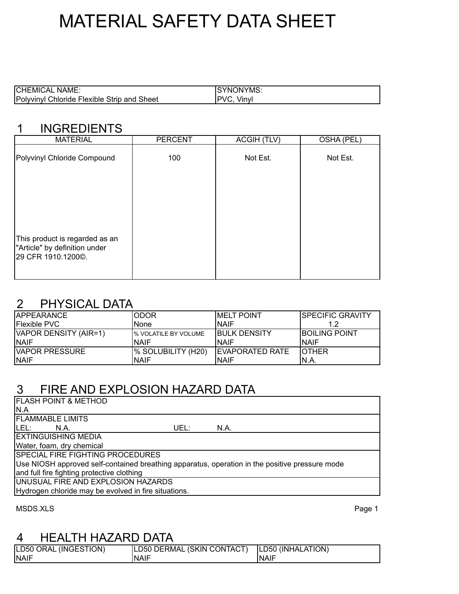# MATERIAL SAFETY DATA SHEET

| <b>CHEMIC</b><br>NAME.<br>÷А                                  | <b>ONYMS:</b><br>'NK |
|---------------------------------------------------------------|----------------------|
| Poly<br>Strip<br>and Sheet<br>∠hloride<br>Hexible S<br>winvi. | ïnvl<br>VII.<br>. .  |

#### 1 INGREDIENTS

| <b>MATERIAL</b>                                                                       | <b>PERCENT</b> | <b>ACGIH (TLV)</b> | OSHA (PEL) |
|---------------------------------------------------------------------------------------|----------------|--------------------|------------|
| Polyvinyl Chloride Compound                                                           | 100            | Not Est.           | Not Est.   |
|                                                                                       |                |                    |            |
|                                                                                       |                |                    |            |
|                                                                                       |                |                    |            |
| This product is regarded as an<br>"Article" by definition under<br>29 CFR 1910.1200©. |                |                    |            |
|                                                                                       |                |                    |            |

#### 2 PHYSICAL DATA

| <b>IAPPEARANCE</b>     | <b>ODOR</b>           | <b>IMELT POINT</b>      | ISPECIFIC GRAVITY     |
|------------------------|-----------------------|-------------------------|-----------------------|
| <b>IFlexible PVC</b>   | 'None                 | INAIF                   |                       |
| VAPOR DENSITY (AIR=1)  | I% VOLATILE BY VOLUME | <b>IBULK DENSITY</b>    | <b>IBOILING POINT</b> |
| <b>INAIF</b>           | INAIF                 | INAIF                   | <b>NAIF</b>           |
| <b>IVAPOR PRESSURE</b> | I% SOLUBILITY (H20)   | <b>IEVAPORATED RATE</b> | <b>IOTHER</b>         |
| <b>INAIF</b>           | INAIF                 | INAIF                   | IN.A.                 |

### 3 FIRE AND EXPLOSION HAZARD DATA

| <b>FLASH POINT &amp; METHOD</b>                                                                |
|------------------------------------------------------------------------------------------------|
| N.A                                                                                            |
| <b>IFLAMMABLE LIMITS</b>                                                                       |
| ILEL:<br>UEL:<br>N.A.<br>N.A.                                                                  |
| <b>IEXTINGUISHING MEDIA</b>                                                                    |
| Water, foam, dry chemical                                                                      |
| <b>SPECIAL FIRE FIGHTING PROCEDURES</b>                                                        |
| Use NIOSH approved self-contained breathing apparatus, operation in the positive pressure mode |
| and full fire fighting protective clothing                                                     |
| UNUSUAL FIRE AND EXPLOSION HAZARDS                                                             |
| Hydrogen chloride may be evolved in fire situations.                                           |
|                                                                                                |

MSDS.XLS Page 1

#### 4 HEALTH HAZARD DATA

| LD50 ORAL (INGESTION) | LD50 DERMAL (SKIN CONTACT)   LD50 (INHALATION) |              |
|-----------------------|------------------------------------------------|--------------|
| <b>INAIF</b>          | 'NAIF                                          | <b>INAIF</b> |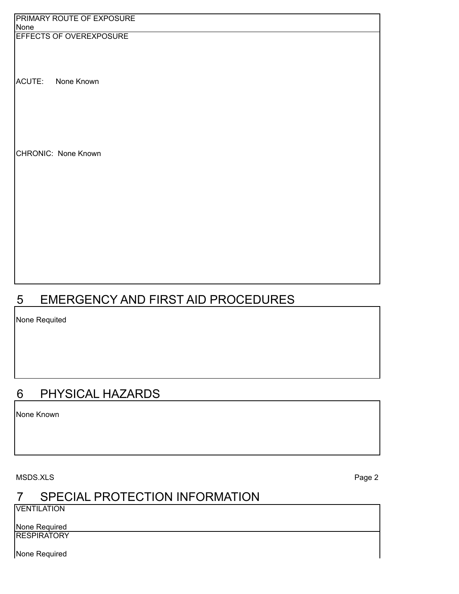| <b>PRIMARY ROUTE OF EXPOSURE</b> |  |
|----------------------------------|--|
| None                             |  |
| <b>EFFECTS OF OVEREXPOSURE</b>   |  |
|                                  |  |
|                                  |  |
|                                  |  |
|                                  |  |
| ACUTE:<br>None Known             |  |
|                                  |  |
|                                  |  |
|                                  |  |
|                                  |  |
|                                  |  |
|                                  |  |
|                                  |  |
| CHRONIC: None Known              |  |
|                                  |  |
|                                  |  |
|                                  |  |
|                                  |  |
|                                  |  |
|                                  |  |
|                                  |  |
|                                  |  |
|                                  |  |
|                                  |  |
|                                  |  |
|                                  |  |
|                                  |  |
|                                  |  |
|                                  |  |

# 5 EMERGENCY AND FIRST AID PROCEDURES

None Requited

# 6 PHYSICAL HAZARDS

None Known

MSDS.XLS Page 2

# 7 SPECIAL PROTECTION INFORMATION

**VENTILATION** 

None Required **RESPIRATORY** 

None Required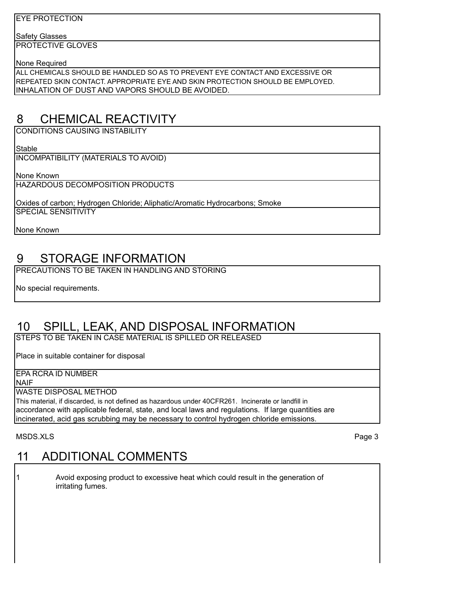#### EYE PROTECTION

Safety Glasses

PROTECTIVE GLOVES

None Required

ALL CHEMICALS SHOULD BE HANDLED SO AS TO PREVENT EYE CONTACT AND EXCESSIVE OR REPEATED SKIN CONTACT. APPROPRIATE EYE AND SKIN PROTECTION SHOULD BE EMPLOYED. INHALATION OF DUST AND VAPORS SHOULD BE AVOIDED.

# 8 CHEMICAL REACTIVITY

CONDITIONS CAUSING INSTABILITY

Stable

INCOMPATIBILITY (MATERIALS TO AVOID)

None Known

HAZARDOUS DECOMPOSITION PRODUCTS

Oxides of carbon; Hydrogen Chloride; Aliphatic/Aromatic Hydrocarbons; Smoke SPECIAL SENSITIVITY

None Known

### 9 STORAGE INFORMATION

PRECAUTIONS TO BE TAKEN IN HANDLING AND STORING

No special requirements.

#### 10 SPILL, LEAK, AND DISPOSAL INFORMATION

STEPS TO BE TAKEN IN CASE MATERIAL IS SPILLED OR RELEASED

Place in suitable container for disposal

EPA RCRA ID NUMBER

NAIF

WASTE DISPOSAL METHOD

This material, if discarded, is not defined as hazardous under 40CFR261. Incinerate or landfill in accordance with applicable federal, state, and local laws and regulations. If large quantities are incinerated, acid gas scrubbing may be necessary to control hydrogen chloride emissions.

MSDS.XLS Page 3

### 11 ADDITIONAL COMMENTS

1 Avoid exposing product to excessive heat which could result in the generation of irritating fumes.